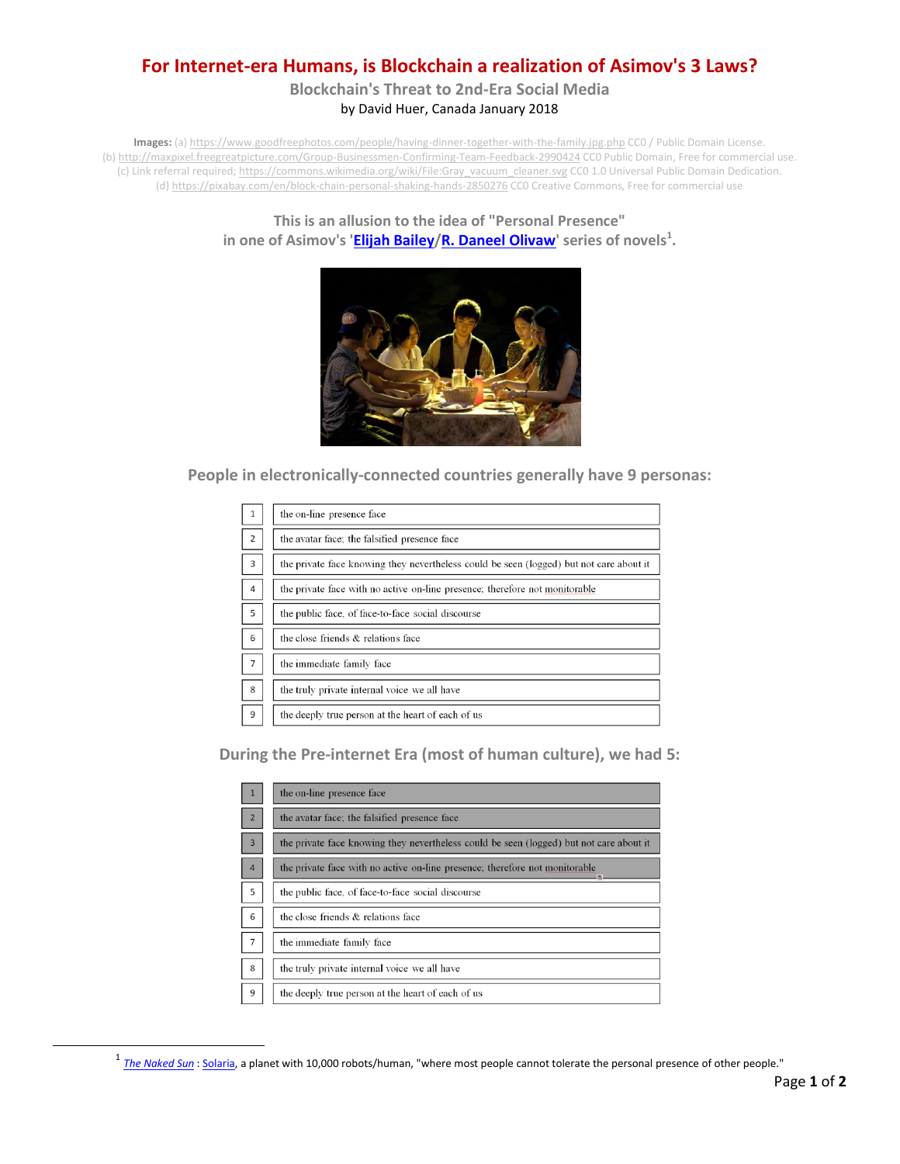## **For Internet-era Humans, is Blockchain a realization of Asimov's 3 Laws?**

**Blockchain's Threat to 2nd-Era Social Media** by David Huer, Canada January 2018

**Images:** (a) <https://www.goodfreephotos.com/people/having-dinner-together-with-the-family.jpg.php> CC0 / Public Domain License. (b[\) http://maxpixel.freegreatpicture.com/Group-Businessmen-Confirming-Team-Feedback-2990424](http://maxpixel.freegreatpicture.com/Group-Businessmen-Confirming-Team-Feedback-2990424) CC0 Public Domain, Free for commercial use. (c) Link referral required; [https://commons.wikimedia.org/wiki/File:Gray\\_vacuum\\_cleaner.svg](https://commons.wikimedia.org/wiki/File:Gray_vacuum_cleaner.svg) CC0 1.0 Universal Public Domain Dedication. (d[\) https://pixabay.com/en/block-chain-personal-shaking-hands-2850276](https://pixabay.com/en/block-chain-personal-shaking-hands-2850276) CC0 Creative Commons, Free for commercial use

#### **This is an allusion to the idea of "Personal Presence" in one of Asimov's ['Elijah Bailey/](https://en.wikipedia.org/wiki/Elijah_Baley)[R. Daneel Olivaw'](https://en.wikipedia.org/wiki/R._Daneel_Olivaw) series of novels<sup>1</sup> .**



**People in electronically-connected countries generally have 9 personas:**

| 1              | the on-line presence face                                                               |
|----------------|-----------------------------------------------------------------------------------------|
| 2              | the avatar face, the falsified presence face                                            |
| $\overline{3}$ | the private face knowing they nevertheless could be seen (logged) but not care about it |
| $\overline{4}$ | the private face with no active on-line presence; therefore not monitorable             |
| 5              | the public face, of face-to-face social discourse                                       |
| 6              | the close friends & relations face                                                      |
| $\overline{7}$ | the immediate family face                                                               |
| 8              | the truly private internal voice we all have                                            |
| 9              | the deeply true person at the heart of each of us                                       |

**During the Pre-internet Era (most of human culture), we had 5:**

|                | the on-line presence face                                                               |
|----------------|-----------------------------------------------------------------------------------------|
| $\overline{2}$ | the avatar face; the falsified presence face                                            |
| $\overline{3}$ | the private face knowing they nevertheless could be seen (logged) but not care about it |
| $\overline{4}$ | the private face with no active on-line presence; therefore not monitorable             |
| 5              | the public face, of face-to-face social discourse                                       |
| 6              | the close friends & relations face                                                      |
| $\overline{7}$ | the immediate family face                                                               |
| 8              | the truly private internal voice we all have                                            |
| 9              | the deeply true person at the heart of each of us                                       |

<sup>&</sup>lt;sup>1</sup> [The Naked Sun](https://en.wikipedia.org/wiki/The_Naked_Sun) [: Solaria,](https://en.wikipedia.org/wiki/Solaria) a planet with 10,000 robots/human, "where most people cannot tolerate the personal presence of other people."

l